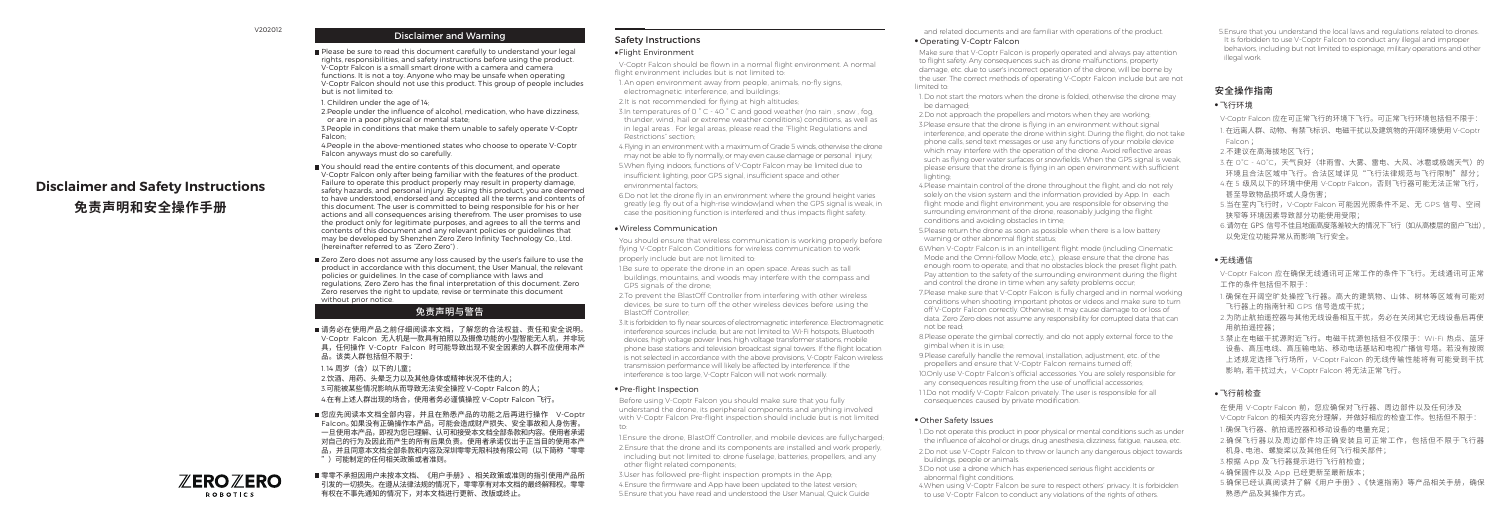# **Disclaimer and Safety Instructions 免责声明和安全操作手册**

# Disclaimer and Warning

Please be sure to read this document carefully to understand your legal rights, responsibilities, and safety instructions before using the product. V-Coptr Falcon is a small smart drone with a camera and camera functions. It is not a toy. Anyone who may be unsafe when operating V-Coptr Falcon should not use this product. This group of people includes but is not limited to:

1. Children under the age of 14;

2.People under the influence of alcohol, medication, who have dizziness, or are in a poor physical or mental state;

3.People in conditions that make them unable to safely operate V-Coptr Falcon;

4.People in the above-mentioned states who choose to operate V-Coptr Falcon anyways must do so carefully.

You should read the entire contents of this document, and operate V-Coptr Falcon only after being familiar with the features of the product. Failure to operate this product properly may result in property damage, safety hazards, and personal injury. By using this product, you are deemed to have understood, endorsed and accepted all the terms and contents of this document. The user is committed to being responsible for his or her actions and all consequences arising therefrom. The user promises to use the product only for legitimate purposes, and agrees to all the terms and contents of this document and any relevant policies or guidelines that may be developed by Shenzhen Zero Zero Infinity Technology Co., Ltd. (hereinafter referred to as "Zero Zero") .

Zero Zero does not assume any loss caused by the user's failure to use the product in accordance with this document, the User Manual, the relevant policies or guidelines. In the case of compliance with laws and regulations, Zero Zero has the final interpretation of this document. Zero Zero reserves the right to update, revise or terminate this document without prior notice.

#### ■您应先阅读本文档全部内容,并且在熟悉产品的功能之后再进行操作 V-Coptr Falcon。如果没有正确操作本产品,可能会造成财产损失、安全事故和人身伤害。 一旦使用本产品,即视为您已理解、认可和接受本文档全部条款和内容。使用者承诺 对自己的行为及因此而产生的所有后果负责。使用者承诺仅出于正当目的使用本产 品,并且同意本文档全部条款和内容及深圳零零无限科技有限公司(以下简称"零零 ")可能制定的任何相关政策或者准则。

 $\mathbb{Z}$ ERO $\mathbb{Z}$ ERO **ROBOTICS** 

 V-Coptr Falcon should be flown in a normal flight environment. A normal flight environment includes but is not limited to:

# 免责声明与警告

请务必在使用产品之前仔细阅读本文档,了解您的合法权益、责任和安全说明。 V-Coptr Falcon 无人机是一款具有拍照以及摄像功能的小型智能无人机,并非玩 具,任何操作 V-Coptr Falcon 时可能导致出现不安全因素的人群不应使用本产 品。该类人群包括但不限于:

1.14 周岁(含)以下的儿童;

2.饮酒、用药、头晕乏力以及其他身体或精神状况不佳的人;

3.可能被某些情况影响从而导致无法安全操控 V-Coptr Falcon 的人; 4.在有上述人群出现的场合,使用者务必谨慎操控 V-Coptr Falcon 飞行。

- 1. An open environment away from people, animals, no-fly signs, electromagnetic interference, and buildings;
- 2.It is not recommended for flying at high altitudes;
- 3. In temperatures of 0  $^{\circ}$  C 40  $^{\circ}$  C and good weather (no rain , snow , fog, thunder, wind, hail or extreme weather conditions) conditions, as well as in legal areas . For legal areas, please read the "Flight Regulations and Restrictions" section;
- 4.Flying in an environment with a maximum of Grade 5 winds, otherwise the drone may not be able to fly normally, or may even cause damage or personal injury; 5.When flying indoors, functions of V-Coptr Falcon may be limited due to
- insufficient lighting, poor GPS signal, insufficient space and other environmental factors;
- 6.Do not let the drone fly in an environment where the ground height varies greatly (e.g. fly out of a high-rise window)and when the GPS signal is weak, in case the positioning function is interfered and thus impacts flight safety.

零零不承担因用户未按本文档、《用户手册》、相关政策或准则的指引使用产品所 引发的一切损失。在遵从法律法规的情况下,零零享有对本文档的最终解释权。零零 有权在不事先通知的情况下,对本文档进行更新、改版或终止。

### 安全操作指南

#### ● 飞行环境

V-Coptr Falcon 应在可正常飞行的环境下飞行。可正常飞行环境包括但不限于:

- 1. 在远离人群、动物、有禁飞标识、电磁干扰以及建筑物的开阔环境使用 V-Coptr Falcon ;
- 2.不建议在高海拔地区飞行;
- 3.在 0℃ 40℃,天气良好(非雨雪、大雾、雷电、大风、冰雹或极端天气)的 环境且合法区域中飞行法域详见"飞行法律规范与飞行限制"部分;
- 4.在 5 级风以下的环境中使用 V-Coptr Falcon,否则飞行器可能无法正常飞行, 甚至导致物品损坏或人身伤害;
- 5.当在室内飞行时,V-Coptr Falcon 可能因光照条件不足、无 GPS 信号、空间 狭窄等 环境因素导致部分功能使用受限;
- 6.请勿在 GPS 信号不佳且地面高度落差较大的情况下飞行(如从高楼层的窗户飞出), 以免定位功能异常从而影响飞行安全。

#### ● 无线通信

V-Coptr Falcon 应在确保无线通讯可正常工作的条件下飞行。无线通讯可正常 工作的条件包括但不限于:

- 1. 确保在开阔空旷处操控飞行器。高大的建筑物、山体、树林等区域有可能对 飞行器上的指南针和 GPS 信号造成干扰;
- 2.为防止航拍遥控器与其他无线设备相互干扰,务必在关闭其它无线设备后再使 用航拍遥控器;
- 3.禁止在电磁干扰源附近飞行。电磁干扰源包括但不仅限于:Wi-Fi 热点、蓝牙 设备、高压电线、高压输电站、移动电话基站和电视广播信号塔。若没有按照 上述规定选择飞行场所,V-Coptr Falcon 的无线传输性能将有可能受到干扰 影响,若干扰过大,V-Coptr Falcon 将无法正常飞行。

#### ● 飞行前检查

在使用 V-Coptr Falcon 前,您应确保对飞行器、周边部件以及任何涉及 V-Coptr Falcon 的相关内容充分理解,并做好相应的检查工作。包括但不限于:

- 1.确保飞行器、航拍遥控器和移动设备的电量充足;
- 2.确保飞行器以及周边部件均正确安装且可正常工作,包括但不限于飞行器 机身、电池、螺旋桨以及其他任何飞行相关部件;
- 3.根据 App 及飞行器提示进行飞行前检查;
- 4.确保固件以及 App 已经更新至最新版本;
- 5.确保已经认真阅读并了解《用户手册》、《快速指南》等产品相关手册,确保 熟悉产品及其操作方式。

# Safety Instructions

#### ● Flight Environment

 2.Do not approach the propellers and motors when they are working; 3.Please ensure that the drone is flying in an environment without signal interference, and operate the drone within sight. During the flight, do not take phone calls, send text messages or use any functions of your mobile device which may interfere with the operation of the drone. Avoid reflective areas such as flying over water surfaces or snowfields. When the GPS signal is weak, please ensure that the drone is flying in an open environment with sufficient lighting;

 6.When V-Coptr Falcon is in an intelligent flight mode (including Cinematic Mode and the Omni-follow Mode, etc.), please ensure that the drone has enough room to operate, and that no obstacles block the preset flight path. Pay attention to the safety of the surrounding environment during the flight and control the drone in time when any safety problems occur-

#### ● Wireless Communication

- You should ensure that wireless communication is working properly before flying V-Coptr Falcon Conditions for wireless communication to work properly include but are not limited to:
- 1.Be sure to operate the drone in an open space. Areas such as tall buildings, mountains, and woods may interfere with the compass and GPS signals of the drone;
- 2.To prevent the BlastOff Controller from interfering with other wireless devices, be sure to turn off the other wireless devices before using the BlastOff Controller;
- 3.It is forbidden to fly near sources of electromagnetic interference. Electromagnetic interference sources include, but are not limited to: Wi-Fi hotspots, Bluetooth devices, high voltage power lines, high voltage transformer stations, mobile phone base stations and television broadcast signal towers. If the flight location is not selected in accordance with the above provisions, V-Coptr Falcon wireless transmission performance will likely be affected by interference. If the interference is too large, V-Coptr Falcon will not work normally.

#### ● Pre-flight Inspection

 Before using V-Coptr Falcon you should make sure that you fully understand the drone, its peripheral components and anything involved with V-Coptr Falcon Pre-flight inspection should include but is not limited to:

- 1.Ensure the drone, BlastOff Controller, and mobile devices are fullycharged; 2.Ensure that the drone and its components are installed and work properly, including but not limited to: drone fuselage, batteries, propellers, and any other flight related components;
- 3.User has followed pre-flight inspection prompts in the App; 4.Ensure the firmware and App have been updated to the latest version;
- 5.Ensure that you have read and understood the User Manual, Quick Guide

and related documents and are familiar with operations of the product.

### ● Operating V-Coptr Falcon

 Make sure that V-Coptr Falcon is properly operated and always pay attention to flight safety. Any consequences such as drone malfunctions, property damage, etc. due to user's incorrect operation of the drone, will be borne by the user. The correct methods of operating V-Coptr Falcon include but are not limited to:

 1. Do not start the motors when the drone is folded, otherwise the drone may be damaged;

 4.Please maintain control of the drone throughout the flight, and do not rely solely on the vision system and the information provided by App. In each flight mode and flight environment, you are responsible for observing the surrounding environment of the drone, reasonably judging the flight conditions and avoiding obstacles in time;

 5.Please return the drone as soon as possible when there is a low battery warning or other abnormal flight status;

 7.Please make sure that V-Coptr Falcon is fully charged and in normal working conditions when shooting important photos or videos and make sure to turn off V-Coptr Falcon correctly. Otherwise, it may cause damage to or loss of data. Zero Zero does not assume any responsibility for corrupted data that can not be read;

 8.Please operate the gimbal correctly, and do not apply external force to the gimbal when it is in use;

 9.Please carefully handle the removal, installation, adjustment, etc. of the propellers and ensure that V-Coptr Falcon remains turned off; 10.Only use V-Coptr Falcon's official accessories. You are solely responsible for any consequences resulting from the use of unofficial accessories; 11.Do not modify V-Coptr Falcon privately. The user is responsible for all consequences caused by private modification.

### ● Other Safety Issues

 1.Do not operate this product in poor physical or mental conditions such as under the influence of alcohol or drugs, drug anesthesia, dizziness, fatigue, nausea, etc.

 2.Do not use V-Coptr Falcon to throw or launch any dangerous object towards buildings, people or animals.

 3.Do not use a drone which has experienced serious flight accidents or abnormal flight conditions.

 4.When using V-Coptr Falcon be sure to respect others' privacy. It is forbidden to use V-Coptr Falcon to conduct any violations of the rights of others.

 5.Ensure that you understand the local laws and regulations related to drones. It is forbidden to use V-Coptr Falcon to conduct any illegal and improper behaviors, including but not limited to espionage, military operations and other illegal work.